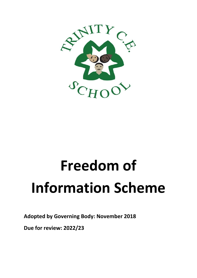

# **Freedom of Information Scheme**

**Adopted by Governing Body: November 2018**

**Due for review: 2022/23**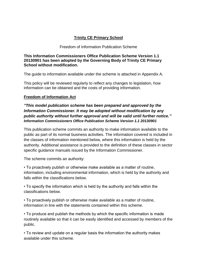## **Trinity CE Primary School**

## Freedom of Information Publication Scheme

### **This Information Commissioners Office Publication Scheme Version 1.1 20130901 has been adopted by the Governing Body of Trinity CE Primary School without modification.**

The guide to information available under the scheme is attached in Appendix A.

This policy will be reviewed regularly to reflect any changes to legislation, how information can be obtained and the costs of providing information.

## **Freedom of Information Act**

## *"This model publication scheme has been prepared and approved by the Information Commissioner. It may be adopted without modification by any public authority without further approval and will be valid until further notice." Information Commissioners Office Publication Scheme Version 1.1 20130901*

This publication scheme commits an authority to make information available to the public as part of its normal business activities. The information covered is included in the classes of information mentioned below, where this information is held by the authority. Additional assistance is provided to the definition of these classes in sector specific guidance manuals issued by the Information Commissioner.

The scheme commits an authority:

• To proactively publish or otherwise make available as a matter of routine, information, including environmental information, which is held by the authority and falls within the classifications below.

• To specify the information which is held by the authority and falls within the classifications below.

• To proactively publish or otherwise make available as a matter of routine, information in line with the statements contained within this scheme.

• To produce and publish the methods by which the specific information is made routinely available so that it can be easily identified and accessed by members of the public.

• To review and update on a regular basis the information the authority makes available under this scheme.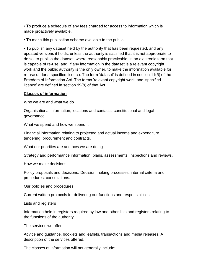• To produce a schedule of any fees charged for access to information which is made proactively available.

• To make this publication scheme available to the public.

• To publish any dataset held by the authority that has been requested, and any updated versions it holds, unless the authority is satisfied that it is not appropriate to do so; to publish the dataset, where reasonably practicable, in an electronic form that is capable of re-use; and, if any information in the dataset is a relevant copyright work and the public authority is the only owner, to make the information available for re-use under a specified licence. The term 'dataset' is defined in section 11(5) of the Freedom of Information Act. The terms 'relevant copyright work' and 'specified licence' are defined in section 19(8) of that Act.

## **Classes of information**

Who we are and what we do

Organisational information, locations and contacts, constitutional and legal governance.

What we spend and how we spend it

Financial information relating to projected and actual income and expenditure, tendering, procurement and contracts.

What our priorities are and how we are doing

Strategy and performance information, plans, assessments, inspections and reviews.

How we make decisions

Policy proposals and decisions. Decision making processes, internal criteria and procedures, consultations.

Our policies and procedures

Current written protocols for delivering our functions and responsibilities.

Lists and registers

Information held in registers required by law and other lists and registers relating to the functions of the authority.

The services we offer

Advice and guidance, booklets and leaflets, transactions and media releases. A description of the services offered.

The classes of information will not generally include: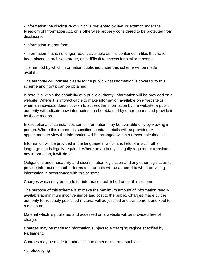• Information the disclosure of which is prevented by law, or exempt under the Freedom of Information Act, or is otherwise properly considered to be protected from disclosure.

• Information in draft form.

• Information that is no longer readily available as it is contained in files that have been placed in archive storage, or is difficult to access for similar reasons.

The method by which information published under this scheme will be made available

The authority will indicate clearly to the public what information is covered by this scheme and how it can be obtained.

Where it is within the capability of a public authority, information will be provided on a website. Where it is impracticable to make information available on a website or when an individual does not wish to access the information by the website, a public authority will indicate how information can be obtained by other means and provide it by those means.

In exceptional circumstances some information may be available only by viewing in person. Where this manner is specified, contact details will be provided. An appointment to view the information will be arranged within a reasonable timescale.

Information will be provided in the language in which it is held or in such other language that is legally required. Where an authority is legally required to translate any information, it will do so.

Obligations under disability and discrimination legislation and any other legislation to provide information in other forms and formats will be adhered to when providing information in accordance with this scheme.

Charges which may be made for information published under this scheme

The purpose of this scheme is to make the maximum amount of information readily available at minimum inconvenience and cost to the public. Charges made by the authority for routinely published material will be justified and transparent and kept to a minimum.

Material which is published and accessed on a website will be provided free of charge.

Charges may be made for information subject to a charging regime specified by Parliament.

Charges may be made for actual disbursements incurred such as:

• photocopying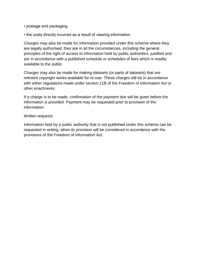- postage and packaging
- the costs directly incurred as a result of viewing information

Charges may also be made for information provided under this scheme where they are legally authorised, they are in all the circumstances, including the general principles of the right of access to information held by public authorities, justified and are in accordance with a published schedule or schedules of fees which is readily available to the public.

Charges may also be made for making datasets (or parts of datasets) that are relevant copyright works available for re-use. These charges will be in accordance with either regulations made under section 11B of the Freedom of Information Act or other enactments.

If a charge is to be made, confirmation of the payment due will be given before the information is provided. Payment may be requested prior to provision of the information.

#### Written requests

Information held by a public authority that is not published under this scheme can be requested in writing, when its provision will be considered in accordance with the provisions of the Freedom of Information Act.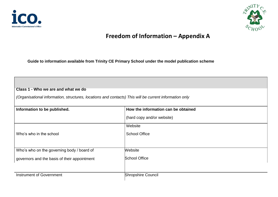



## **Freedom of Information – Appendix A**

**Guide to information available from Trinity CE Primary School under the model publication scheme**

## **Class 1 - Who we are and what we do**

*(Organisational information, structures, locations and contacts) This will be current information only*

| Information to be published.                 | How the information can be obtained |
|----------------------------------------------|-------------------------------------|
|                                              | (hard copy and/or website)          |
|                                              | Website                             |
| Who's who in the school                      | <b>School Office</b>                |
|                                              |                                     |
| Who's who on the governing body / board of   | Website                             |
| governors and the basis of their appointment | <b>School Office</b>                |
|                                              |                                     |
| Instrument of Government                     | <b>Shropshire Council</b>           |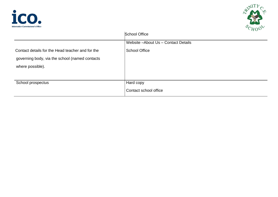



|                                                                                                                        | $\sim$<br><b>School Office</b>       |
|------------------------------------------------------------------------------------------------------------------------|--------------------------------------|
|                                                                                                                        | Website - About Us - Contact Details |
| Contact details for the Head teacher and for the<br>governing body, via the school (named contacts<br>where possible). | <b>School Office</b>                 |
| School prospectus                                                                                                      | Hard copy<br>Contact school office   |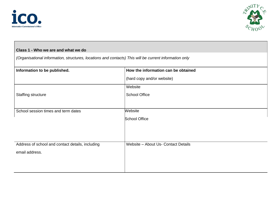



## **Class 1 - Who we are and what we do**

*(Organisational information, structures, locations and contacts) This will be current information only*

| Information to be published.                     | How the information can be obtained |  |
|--------------------------------------------------|-------------------------------------|--|
|                                                  | (hard copy and/or website)          |  |
|                                                  | Website                             |  |
| <b>Staffing structure</b>                        | <b>School Office</b>                |  |
|                                                  |                                     |  |
| School session times and term dates              | Website                             |  |
|                                                  | <b>School Office</b>                |  |
|                                                  |                                     |  |
|                                                  |                                     |  |
| Address of school and contact details, including | Website - About Us- Contact Details |  |
| email address.                                   |                                     |  |
|                                                  |                                     |  |
|                                                  |                                     |  |
|                                                  |                                     |  |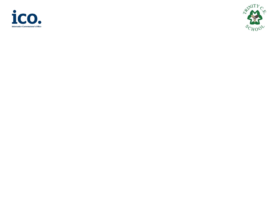

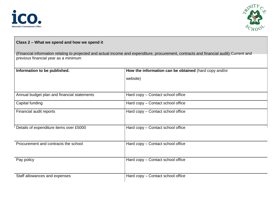



## **Class 2 – What we spend and how we spend it**

(Financial information relating to projected and actual income and expenditure, procurement, contracts and financial audit) Current and previous financial year as a minimum

| Information to be published.                | How the information can be obtained (hard copy and/or |  |
|---------------------------------------------|-------------------------------------------------------|--|
|                                             | website)                                              |  |
|                                             |                                                       |  |
|                                             |                                                       |  |
| Annual budget plan and financial statements | Hard copy - Contact school office                     |  |
| Capital funding                             | Hard copy – Contact school office                     |  |
| Financial audit reports                     | Hard copy - Contact school office                     |  |
|                                             |                                                       |  |
| Details of expenditure items over £5000     | Hard copy - Contact school office                     |  |
|                                             |                                                       |  |
|                                             |                                                       |  |
| Procurement and contracts the school        | Hard copy – Contact school office                     |  |
|                                             |                                                       |  |
| Pay policy                                  | Hard copy - Contact school office                     |  |
|                                             |                                                       |  |
| Staff allowances and expenses               | Hard copy - Contact school office                     |  |
|                                             |                                                       |  |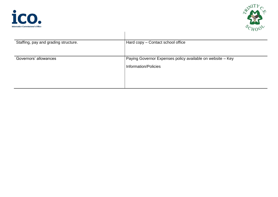



|                                      | $\sim$                                                     |
|--------------------------------------|------------------------------------------------------------|
|                                      |                                                            |
|                                      |                                                            |
| Staffing, pay and grading structure. | Hard copy - Contact school office                          |
|                                      |                                                            |
|                                      |                                                            |
|                                      |                                                            |
| Governors' allowances                | Paying Governor Expenses policy available on website - Key |
|                                      |                                                            |
|                                      | Information/Policies                                       |
|                                      |                                                            |
|                                      |                                                            |
|                                      |                                                            |
|                                      |                                                            |
|                                      |                                                            |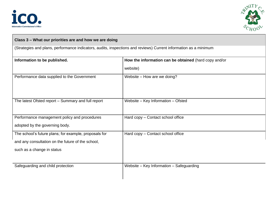



## **Class 3 – What our priorities are and how we are doing** (Strategies and plans, performance indicators, audits, inspections and reviews) Current information as a minimum **Information to be published. How the information can be obtained** (hard copy and/or website) Performance data supplied to the Government Website – How are we doing? The latest Ofsted report – Summary and full report Website – Key Information – Ofsted Performance management policy and procedures Hard copy – Contact school office adopted by the governing body. The school's future plans; for example, proposals for  $\Box$  Hard copy – Contact school office and any consultation on the future of the school, such as a change in status Safeguarding and child protection Website – Key Information – Safeguarding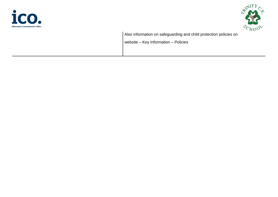



Also information on safeguarding and child protection policies on

website – Key Information – Policies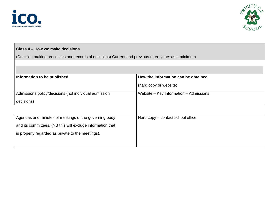



## **Class 4 – How we make decisions**

(Decision making processes and records of decisions) Current and previous three years as a minimum

| Information to be published.                               | How the information can be obtained    |
|------------------------------------------------------------|----------------------------------------|
|                                                            | (hard copy or website)                 |
| Admissions policy/decisions (not individual admission      | Website – Key Information – Admissions |
| decisions)                                                 |                                        |
|                                                            |                                        |
| Agendas and minutes of meetings of the governing body      | Hard copy – contact school office      |
| and its committees. (NB this will exclude information that |                                        |
| is properly regarded as private to the meetings).          |                                        |
|                                                            |                                        |
|                                                            |                                        |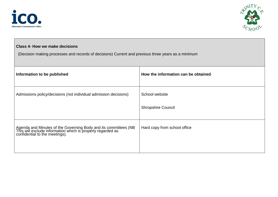



## **Class 4- How we make decisions**

(Decision making processes and records of decisions) Current and previous three years as a minimum

| Information to be published                                                                                                                                      | How the information can be obtained         |
|------------------------------------------------------------------------------------------------------------------------------------------------------------------|---------------------------------------------|
| Admissions policy/decisions (not individual admission decisions)                                                                                                 | School website<br><b>Shropshire Council</b> |
| Agenda and Minutes of the Governing Body and its committees (NB<br>This will exclude information which is properly regarded as<br>confidential to the meetings). | Hard copy from school office                |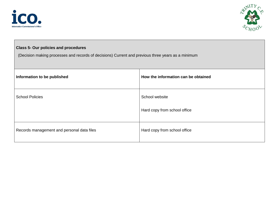



| <b>Class 5- Our policies and procedures</b><br>(Decision making processes and records of decisions) Current and previous three years as a minimum |                                                |  |
|---------------------------------------------------------------------------------------------------------------------------------------------------|------------------------------------------------|--|
| Information to be published                                                                                                                       | How the information can be obtained            |  |
| <b>School Policies</b>                                                                                                                            | School website<br>Hard copy from school office |  |
| Records management and personal data files                                                                                                        | Hard copy from school office                   |  |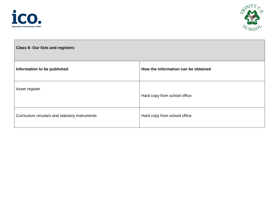



| <b>Class 6- Our lists and registers</b>        |                                     |  |
|------------------------------------------------|-------------------------------------|--|
| Information to be published                    | How the information can be obtained |  |
| Asset register                                 | Hard copy from school office        |  |
| Curriculum circulars and statutory instruments | Hard copy from school office        |  |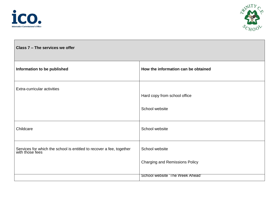



| Class 7 - The services we offer                                                      |                                                         |  |
|--------------------------------------------------------------------------------------|---------------------------------------------------------|--|
| Information to be published                                                          | How the information can be obtained                     |  |
| Extra-curricular activities                                                          | Hard copy from school office<br>School website          |  |
| Childcare                                                                            | School website                                          |  |
| Services for which the school is entitled to recover a fee, together with those fees | School website<br><b>Charging and Remissions Policy</b> |  |
|                                                                                      | School website 'The Week Ahead'                         |  |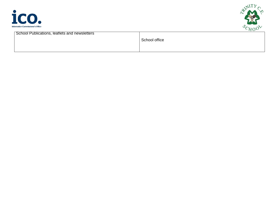



|                                                      |               | $\sim$ $\sim$ $\sim$ |
|------------------------------------------------------|---------------|----------------------|
| <b>School Publications, leaflets and newsletters</b> |               |                      |
|                                                      |               |                      |
|                                                      | School office |                      |
|                                                      |               |                      |
|                                                      |               |                      |
|                                                      |               |                      |
|                                                      |               |                      |